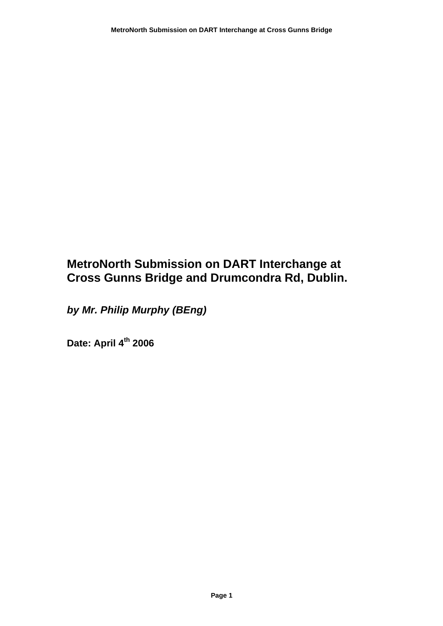## **MetroNorth Submission on DART Interchange at Cross Gunns Bridge and Drumcondra Rd, Dublin.**

*by Mr. Philip Murphy (BEng)* 

**Date: April 4th 2006**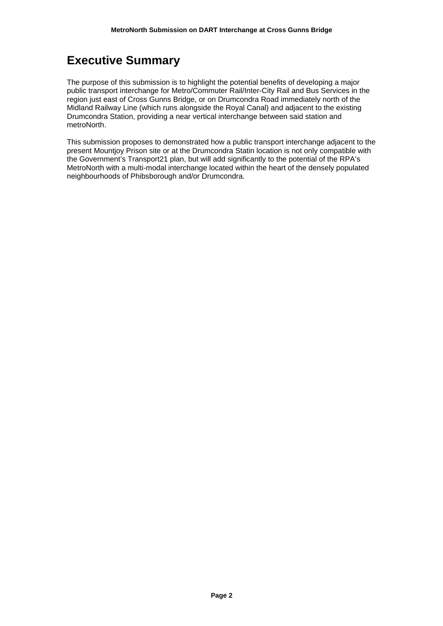## **Executive Summary**

The purpose of this submission is to highlight the potential benefits of developing a major public transport interchange for Metro/Commuter Rail/Inter-City Rail and Bus Services in the region just east of Cross Gunns Bridge, or on Drumcondra Road immediately north of the Midland Railway Line (which runs alongside the Royal Canal) and adjacent to the existing Drumcondra Station, providing a near vertical interchange between said station and metroNorth.

This submission proposes to demonstrated how a public transport interchange adjacent to the present Mountjoy Prison site or at the Drumcondra Statin location is not only compatible with the Government's Transport21 plan, but will add significantly to the potential of the RPA's MetroNorth with a multi-modal interchange located within the heart of the densely populated neighbourhoods of Phibsborough and/or Drumcondra.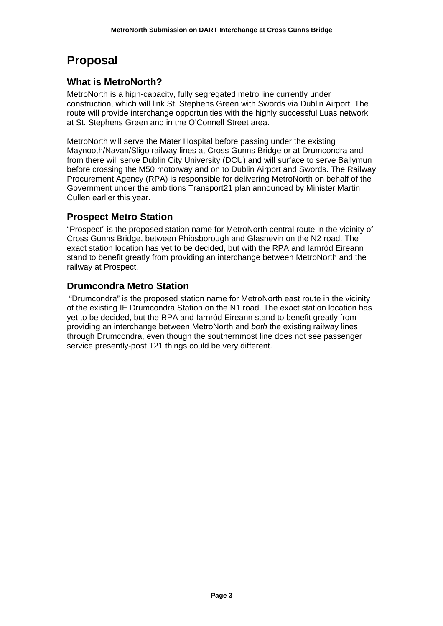## **Proposal**

## **What is MetroNorth?**

MetroNorth is a high-capacity, fully segregated metro line currently under construction, which will link St. Stephens Green with Swords via Dublin Airport. The route will provide interchange opportunities with the highly successful Luas network at St. Stephens Green and in the O'Connell Street area.

MetroNorth will serve the Mater Hospital before passing under the existing Maynooth/Navan/Sligo railway lines at Cross Gunns Bridge or at Drumcondra and from there will serve Dublin City University (DCU) and will surface to serve Ballymun before crossing the M50 motorway and on to Dublin Airport and Swords. The Railway Procurement Agency (RPA) is responsible for delivering MetroNorth on behalf of the Government under the ambitions Transport21 plan announced by Minister Martin Cullen earlier this year.

### **Prospect Metro Station**

"Prospect" is the proposed station name for MetroNorth central route in the vicinity of Cross Gunns Bridge, between Phibsborough and Glasnevin on the N2 road. The exact station location has yet to be decided, but with the RPA and Iarnród Eireann stand to benefit greatly from providing an interchange between MetroNorth and the railway at Prospect.

## **Drumcondra Metro Station**

 "Drumcondra" is the proposed station name for MetroNorth east route in the vicinity of the existing IE Drumcondra Station on the N1 road. The exact station location has yet to be decided, but the RPA and Iarnród Eireann stand to benefit greatly from providing an interchange between MetroNorth and *both* the existing railway lines through Drumcondra, even though the southernmost line does not see passenger service presently-post T21 things could be very different.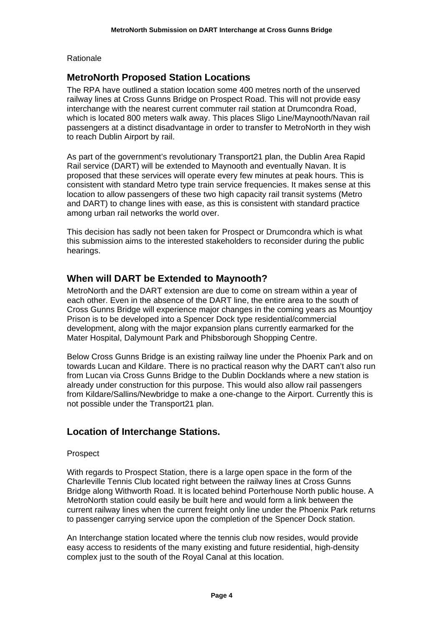Rationale

### **MetroNorth Proposed Station Locations**

The RPA have outlined a station location some 400 metres north of the unserved railway lines at Cross Gunns Bridge on Prospect Road. This will not provide easy interchange with the nearest current commuter rail station at Drumcondra Road, which is located 800 meters walk away. This places Sligo Line/Maynooth/Navan rail passengers at a distinct disadvantage in order to transfer to MetroNorth in they wish to reach Dublin Airport by rail.

As part of the government's revolutionary Transport21 plan, the Dublin Area Rapid Rail service (DART) will be extended to Maynooth and eventually Navan. It is proposed that these services will operate every few minutes at peak hours. This is consistent with standard Metro type train service frequencies. It makes sense at this location to allow passengers of these two high capacity rail transit systems (Metro and DART) to change lines with ease, as this is consistent with standard practice among urban rail networks the world over.

This decision has sadly not been taken for Prospect or Drumcondra which is what this submission aims to the interested stakeholders to reconsider during the public hearings.

### **When will DART be Extended to Maynooth?**

MetroNorth and the DART extension are due to come on stream within a year of each other. Even in the absence of the DART line, the entire area to the south of Cross Gunns Bridge will experience major changes in the coming years as Mountjoy Prison is to be developed into a Spencer Dock type residential/commercial development, along with the major expansion plans currently earmarked for the Mater Hospital, Dalymount Park and Phibsborough Shopping Centre.

Below Cross Gunns Bridge is an existing railway line under the Phoenix Park and on towards Lucan and Kildare. There is no practical reason why the DART can't also run from Lucan via Cross Gunns Bridge to the Dublin Docklands where a new station is already under construction for this purpose. This would also allow rail passengers from Kildare/Sallins/Newbridge to make a one-change to the Airport. Currently this is not possible under the Transport21 plan.

### **Location of Interchange Stations.**

#### Prospect

With regards to Prospect Station, there is a large open space in the form of the Charleville Tennis Club located right between the railway lines at Cross Gunns Bridge along Withworth Road. It is located behind Porterhouse North public house. A MetroNorth station could easily be built here and would form a link between the current railway lines when the current freight only line under the Phoenix Park returns to passenger carrying service upon the completion of the Spencer Dock station.

An Interchange station located where the tennis club now resides, would provide easy access to residents of the many existing and future residential, high-density complex just to the south of the Royal Canal at this location.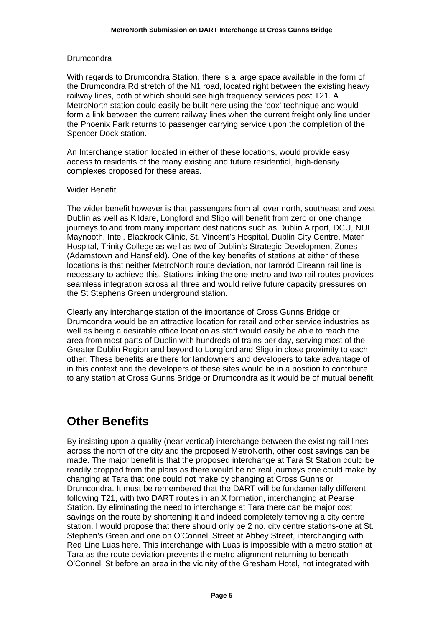#### **Drumcondra**

With regards to Drumcondra Station, there is a large space available in the form of the Drumcondra Rd stretch of the N1 road, located right between the existing heavy railway lines, both of which should see high frequency services post T21. A MetroNorth station could easily be built here using the 'box' technique and would form a link between the current railway lines when the current freight only line under the Phoenix Park returns to passenger carrying service upon the completion of the Spencer Dock station.

An Interchange station located in either of these locations, would provide easy access to residents of the many existing and future residential, high-density complexes proposed for these areas.

#### Wider Benefit

The wider benefit however is that passengers from all over north, southeast and west Dublin as well as Kildare, Longford and Sligo will benefit from zero or one change journeys to and from many important destinations such as Dublin Airport, DCU, NUI Maynooth, Intel, Blackrock Clinic, St. Vincent's Hospital, Dublin City Centre, Mater Hospital, Trinity College as well as two of Dublin's Strategic Development Zones (Adamstown and Hansfield). One of the key benefits of stations at either of these locations is that neither MetroNorth route deviation, nor Iarnród Eireann rail line is necessary to achieve this. Stations linking the one metro and two rail routes provides seamless integration across all three and would relive future capacity pressures on the St Stephens Green underground station.

Clearly any interchange station of the importance of Cross Gunns Bridge or Drumcondra would be an attractive location for retail and other service industries as well as being a desirable office location as staff would easily be able to reach the area from most parts of Dublin with hundreds of trains per day, serving most of the Greater Dublin Region and beyond to Longford and Sligo in close proximity to each other. These benefits are there for landowners and developers to take advantage of in this context and the developers of these sites would be in a position to contribute to any station at Cross Gunns Bridge or Drumcondra as it would be of mutual benefit.

## **Other Benefits**

By insisting upon a quality (near vertical) interchange between the existing rail lines across the north of the city and the proposed MetroNorth, other cost savings can be made. The major benefit is that the proposed interchange at Tara St Station could be readily dropped from the plans as there would be no real journeys one could make by changing at Tara that one could not make by changing at Cross Gunns or Drumcondra. It must be remembered that the DART will be fundamentally different following T21, with two DART routes in an X formation, interchanging at Pearse Station. By eliminating the need to interchange at Tara there can be major cost savings on the route by shortening it and indeed completely temoving a city centre station. I would propose that there should only be 2 no. city centre stations-one at St. Stephen's Green and one on O'Connell Street at Abbey Street, interchanging with Red Line Luas here. This interchange with Luas is impossible with a metro station at Tara as the route deviation prevents the metro alignment returning to beneath O'Connell St before an area in the vicinity of the Gresham Hotel, not integrated with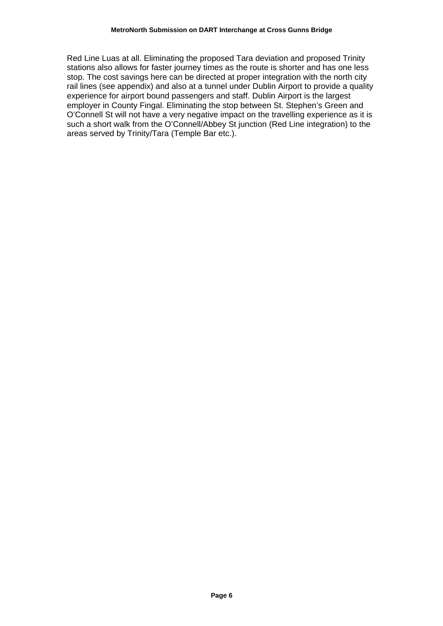Red Line Luas at all. Eliminating the proposed Tara deviation and proposed Trinity stations also allows for faster journey times as the route is shorter and has one less stop. The cost savings here can be directed at proper integration with the north city rail lines (see appendix) and also at a tunnel under Dublin Airport to provide a quality experience for airport bound passengers and staff. Dublin Airport is the largest employer in County Fingal. Eliminating the stop between St. Stephen's Green and O'Connell St will not have a very negative impact on the travelling experience as it is such a short walk from the O'Connell/Abbey St junction (Red Line integration) to the areas served by Trinity/Tara (Temple Bar etc.).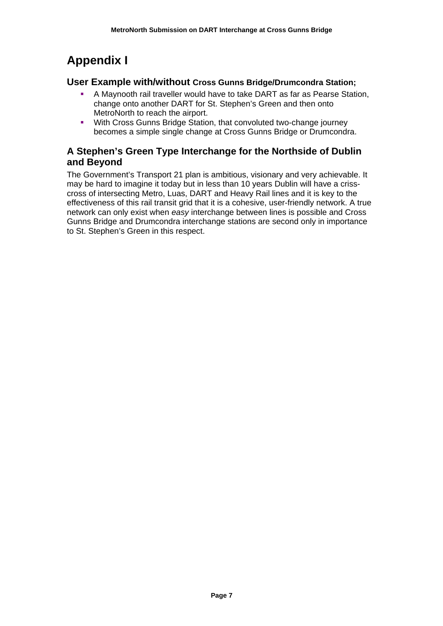# **Appendix I**

#### **User Example with/without Cross Gunns Bridge/Drumcondra Station;**

- A Maynooth rail traveller would have to take DART as far as Pearse Station, change onto another DART for St. Stephen's Green and then onto MetroNorth to reach the airport.
- **With Cross Gunns Bridge Station, that convoluted two-change journey** becomes a simple single change at Cross Gunns Bridge or Drumcondra.

### **A Stephen's Green Type Interchange for the Northside of Dublin and Beyond**

The Government's Transport 21 plan is ambitious, visionary and very achievable. It may be hard to imagine it today but in less than 10 years Dublin will have a crisscross of intersecting Metro, Luas, DART and Heavy Rail lines and it is key to the effectiveness of this rail transit grid that it is a cohesive, user-friendly network. A true network can only exist when *easy* interchange between lines is possible and Cross Gunns Bridge and Drumcondra interchange stations are second only in importance to St. Stephen's Green in this respect.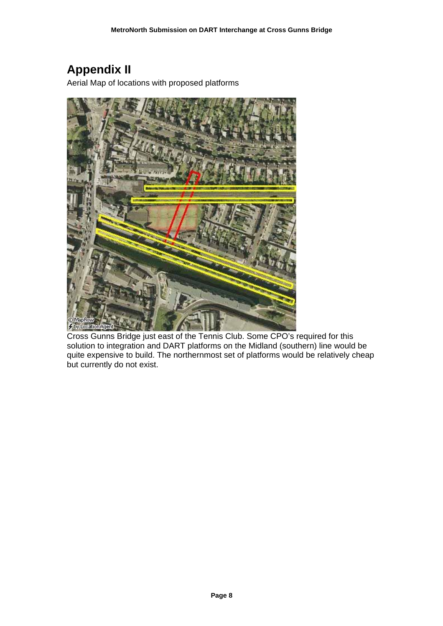# **Appendix II**

Aerial Map of locations with proposed platforms



Cross Gunns Bridge just east of the Tennis Club. Some CPO's required for this solution to integration and DART platforms on the Midland (southern) line would be quite expensive to build. The northernmost set of platforms would be relatively cheap but currently do not exist.